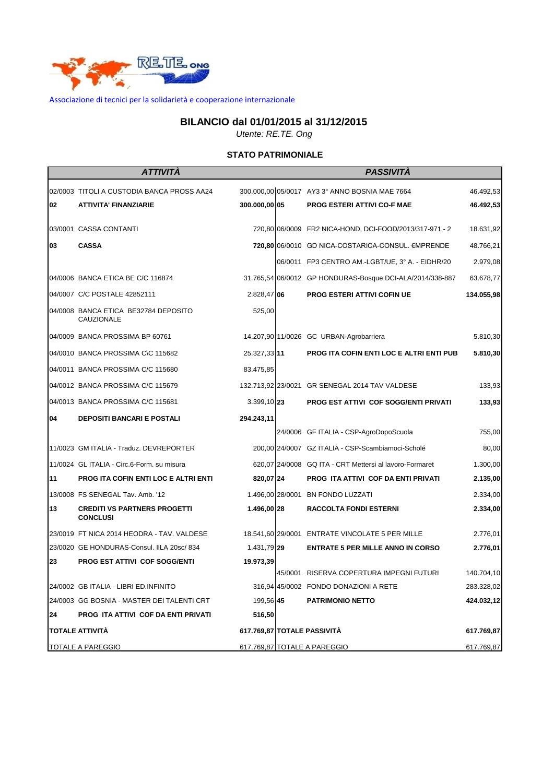

Associazione di tecnici per la solidarietà e cooperazione internazionale

## **BILANCIO dal 01/01/2015 al 31/12/2015**

*Utente: RE.TE. Ong*

## **STATO PATRIMONIALE**

|                        | ATTIVITA                                               |               | <b>PASSIVITA</b>                                          |            |
|------------------------|--------------------------------------------------------|---------------|-----------------------------------------------------------|------------|
|                        | 02/0003 TITOLI A CUSTODIA BANCA PROSS AA24             |               | 300.000,00 05/0017 AY3 3° ANNO BOSNIA MAE 7664            | 46.492,53  |
| 02                     | <b>ATTIVITA' FINANZIARIE</b>                           | 300.000,00 05 | PROG ESTERI ATTIVI CO-F MAE                               | 46.492,53  |
|                        | 03/0001 CASSA CONTANTI                                 |               | 720,80 06/0009 FR2 NICA-HOND, DCI-FOOD/2013/317-971 - 2   | 18.631,92  |
| 03                     | <b>CASSA</b>                                           |               | 720,80 06/0010 GD NICA-COSTARICA-CONSUL. €MPRENDE         | 48.766,21  |
|                        |                                                        |               | 06/0011 FP3 CENTRO AM.-LGBT/UE, 3° A. - EIDHR/20          | 2.979,08   |
|                        | 04/0006 BANCA ETICA BE C/C 116874                      |               | 31.765,54 06/0012 GP HONDURAS-Bosque DCI-ALA/2014/338-887 | 63.678,77  |
|                        | 04/0007 C/C POSTALE 42852111                           | 2.828,47 06   | PROG ESTERI ATTIVI COFIN UE                               | 134.055,98 |
|                        | 04/0008 BANCA ETICA BE32784 DEPOSITO<br>CAUZIONALE     | 525,00        |                                                           |            |
|                        | 04/0009 BANCA PROSSIMA BP 60761                        |               | 14.207,90 11/0026 GC URBAN-Agrobarriera                   | 5.810,30   |
|                        | 04/0010 BANCA PROSSIMA C\C 115682                      | 25.327,33 11  | <b>PROG ITA COFIN ENTI LOC E ALTRI ENTI PUB</b>           | 5.810,30   |
|                        | 04/0011 BANCA PROSSIMA C/C 115680                      | 83.475,85     |                                                           |            |
|                        | 04/0012 BANCA PROSSIMA C/C 115679                      |               | 132.713,92 23/0021 GR SENEGAL 2014 TAV VALDESE            | 133,93     |
|                        | 04/0013 BANCA PROSSIMA C/C 115681                      | 3.399,10 23   | PROG EST ATTIVI COF SOGG/ENTI PRIVATI                     | 133,93     |
| 04                     | <b>DEPOSITI BANCARI E POSTALI</b>                      | 294.243,11    |                                                           |            |
|                        |                                                        |               | 24/0006 GF ITALIA - CSP-AgroDopoScuola                    | 755,00     |
|                        | 11/0023 GM ITALIA - Traduz. DEVREPORTER                |               | 200,00 24/0007 GZ ITALIA - CSP-Scambiamoci-Scholé         | 80,00      |
|                        | 11/0024 GL ITALIA - Circ.6-Form. su misura             |               | 620,07 24/0008 GQ ITA - CRT Mettersi al lavoro-Formaret   | 1.300,00   |
| 11                     | PROG ITA COFIN ENTI LOC E ALTRI ENTI                   | 820,07 24     | PROG ITA ATTIVI COF DA ENTI PRIVATI                       | 2.135,00   |
|                        | 13/0008 FS SENEGAL Tav. Amb. '12                       |               | 1.496,00 28/0001 BN FONDO LUZZATI                         | 2.334,00   |
| 13                     | <b>CREDITI VS PARTNERS PROGETTI</b><br><b>CONCLUSI</b> | 1.496,00 28   | <b>RACCOLTA FONDI ESTERNI</b>                             | 2.334,00   |
|                        | 23/0019 FT NICA 2014 HEODRA - TAV. VALDESE             |               | 18.541,60 29/0001 ENTRATE VINCOLATE 5 PER MILLE           | 2.776,01   |
|                        | 23/0020 GE HONDURAS-Consul. IILA 20sc/ 834             | 1.431,79 29   | <b>ENTRATE 5 PER MILLE ANNO IN CORSO</b>                  | 2.776,01   |
| 23                     | PROG EST ATTIVI COF SOGG/ENTI                          | 19.973,39     |                                                           |            |
|                        |                                                        |               | 45/0001 RISERVA COPERTURA IMPEGNI FUTURI                  | 140.704,10 |
|                        | 24/0002 GB ITALIA - LIBRI ED.INFINITO                  |               | 316,94 45/0002 FONDO DONAZIONI A RETE                     | 283.328,02 |
|                        | 24/0003 GG BOSNIA - MASTER DEI TALENTI CRT             | 199,56 45     | <b>PATRIMONIO NETTO</b>                                   | 424.032,12 |
| 24                     | PROG ITA ATTIVI COF DA ENTI PRIVATI                    | 516,50        |                                                           |            |
| <b>TOTALE ATTIVITÀ</b> |                                                        |               | 617.769,87 TOTALE PASSIVITÀ                               | 617.769,87 |
|                        | <b>TOTALE A PAREGGIO</b>                               |               | 617.769,87 TOTALE A PAREGGIO                              | 617.769,87 |